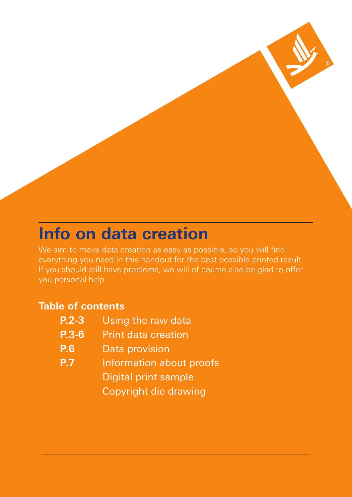## **Info on data creation**

We aim to make data creation as easy as possible, so you will find everything you need in this handout for the best possible printed result. If you should still have problems, we will of course also be glad to offer you personal help.

### **Table of contents**

| $P.2 - 3$    | Using the raw data           |
|--------------|------------------------------|
| <b>P.3-6</b> | <b>Print data creation</b>   |
| <b>P.6</b>   | Data provision               |
| <b>P.7</b>   | Information about proofs     |
|              | <b>Digital print sample</b>  |
|              | <b>Copyright die drawing</b> |
|              |                              |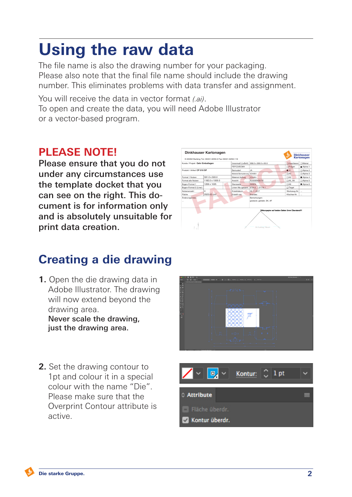## **Using the raw data**

The file name is also the drawing number for your packaging. Please also note that the final file name should include the drawing number. This eliminates problems with data transfer and assignment.

You will receive the data in vector format *(.ai)*. To open and create the data, you will need Adobe Illustrator or a vector-based program.

### **PLEASE NOTE!**

Please ensure that you do not under any circumstances use the template docket that you can see on the right. This document is for information only and is absolutely unsuitable for print data creation.



## **Creating a die drawing**

- **1.** Open the die drawing data in Adobe Illustrator. The drawing will now extend beyond the drawing area. Never scale the drawing, just the drawing area.
- **2.** Set the drawing contour to 1pt and colour it in a special colour with the name "Die". Please make sure that the Overprint Contour attribute is active.



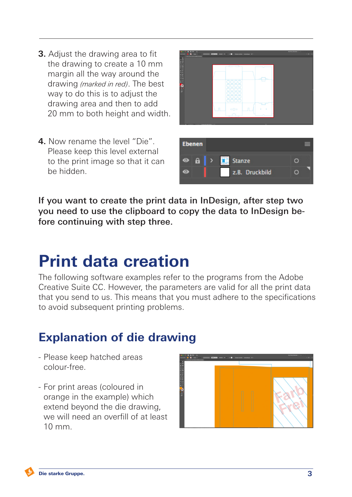- **3.** Adjust the drawing area to fit the drawing to create a 10 mm margin all the way around the drawing *(marked in red)*. The best way to do this is to adjust the drawing area and then to add 20 mm to both height and width.
- **4.** Now rename the level "Die". Please keep this level external to the print image so that it can be hidden.



If you want to create the print data in InDesign, after step two you need to use the clipboard to copy the data to InDesign before continuing with step three.

## **Print data creation**

The following software examples refer to the programs from the Adobe Creative Suite CC. However, the parameters are valid for all the print data that you send to us. This means that you must adhere to the specifications to avoid subsequent printing problems.

### **Explanation of die drawing**

- Please keep hatched areas colour-free.
- For print areas (coloured in orange in the example) which extend beyond the die drawing, we will need an overfill of at least 10 mm.

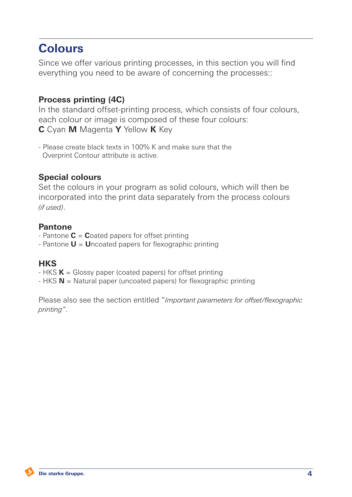## **Colours**

Since we offer various printing processes, in this section you will find everything you need to be aware of concerning the processes::

### **Process printing (4C)**

In the standard offset-printing process, which consists of four colours, each colour or image is composed of these four colours: **C** Cyan **M** Magenta **Y** Yellow **K** Key

- Please create black texts in 100% K and make sure that the Overprint Contour attribute is active.

#### **Special colours**

Set the colours in your program as solid colours, which will then be incorporated into the print data separately from the process colours *(if used)*.

#### **Pantone**

- Pantone **C** = **C**oated papers for offset printing
- Pantone **U** = **U**ncoated papers for flexographic printing

### **HKS**

- HKS **K** = Glossy paper (coated papers) for offset printing
- HKS **N** = Natural paper (uncoated papers) for flexographic printing

Please also see the section entitled "*Important parameters for offset/flexographic printing"*.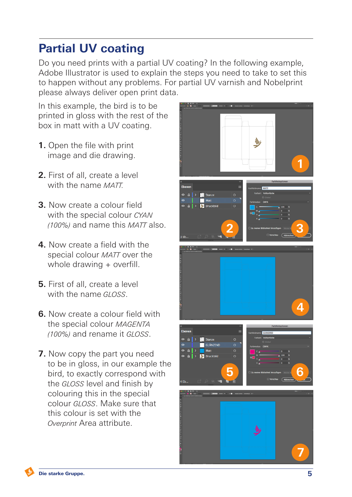## **Partial UV coating**

Do you need prints with a partial UV coating? In the following example, Adobe Illustrator is used to explain the steps you need to take to set this to happen without any problems. For partial UV varnish and Nobelprint please always deliver open print data.

In this example, the bird is to be printed in gloss with the rest of the box in matt with a UV coating.

- **1.** Open the file with print image and die drawing.
- **2.** First of all, create a level with the name *MATT.*
- **3.** Now create a colour field with the special colour *CYAN (100%)* and name this *MATT* also.
- **4.** Now create a field with the special colour *MATT* over the whole drawing + overfill.
- **5.** First of all, create a level with the name *GLOSS*.
- **6.** Now create a colour field with the special colour *MAGENTA (100%)* and rename it *GLOSS*.
- **7.** Now copy the part you need to be in gloss, in our example the bird, to exactly correspond with the *GLOSS* level and finish by colouring this in the special colour *GLOSS*. Make sure that this colour is set with the *Overprint* Area attribute.

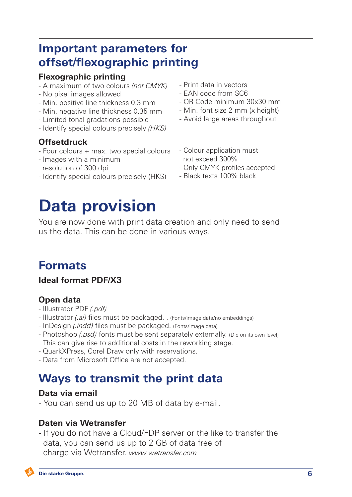### **Important parameters for offset/flexographic printing**

#### **Flexographic printing**

- A maximum of two colours *(not CMYK)*
- No pixel images allowed
- Min. positive line thickness 0.3 mm
- Min. negative line thickness 0.35 mm
- Limited tonal gradations possible
- Identify special colours precisely *(HKS)*

### **Offsetdruck**

- Four colours + max. two special colours
- Images with a minimum resolution of 300 dpi
- Identify special colours precisely (HKS)

## **Data provision**

You are now done with print data creation and only need to send us the data. This can be done in various ways.

## **Formats**

**Ideal format PDF/X3**

### **Open data**

- Illustrator PDF *(.pdf)*
- Illustrator *(.ai)* files must be packaged. . (Fonts/image data/no embeddings)
- InDesign *(.indd)* files must be packaged. (Fonts/image data)
- Photoshop *(.psd)* fonts must be sent separately externally. (Die on its own level) This can give rise to additional costs in the reworking stage.
- QuarkXPress, Corel Draw only with reservations.
- Data from Microsoft Office are not accepted.

### **Ways to transmit the print data**

#### **Data via email**

- You can send us up to 20 MB of data by e-mail.

#### **Daten via Wetransfer**

- If you do not have a Cloud/FDP server or the like to transfer the data, you can send us up to 2 GB of data free of charge via Wetransfer. *www.wetransfer.com*

- Print data in vectors
- EAN code from SC6
- QR Code minimum 30x30 mm
- Min. font size 2 mm (x height)
- Avoid large areas throughout
- Colour application must not exceed 300%
- Only CMYK profiles accepted
- Black texts 100% black